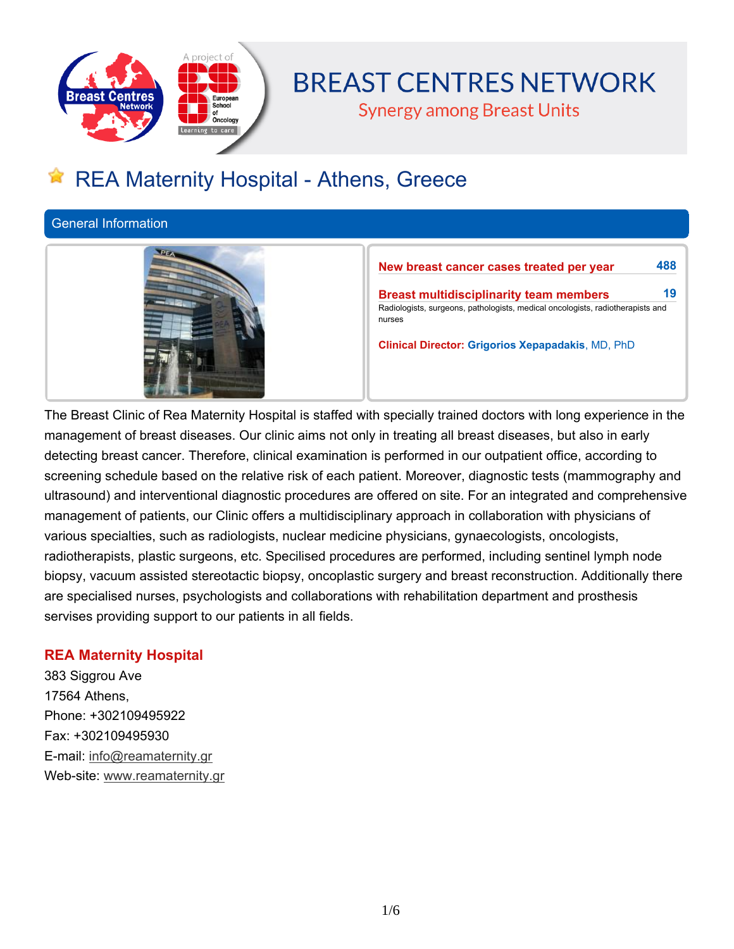

# **BREAST CENTRES NETWORK**

**Synergy among Breast Units** 

## **REA Maternity Hospital - Athens, Greece**

**General Information**



**New breast cancer cases treated per year 488 Breast multidisciplinarity team members 19 Radiologists, surgeons, pathologists, medical oncologists, radiotherapists and nurses**

**Clinical Director: Grigorios Xepapadakis, MD, PhD**

The Breast Clinic of Rea Maternity Hospital is staffed with specially trained doctors with long experience in the management of breast diseases. Our clinic aims not only in treating all breast diseases, but also in early **detecting breast cancer. Therefore, clinical examination is performed in our outpatient office, according to screening schedule based on the relative risk of each patient. Moreover, diagnostic tests (mammography and ultrasound) and interventional diagnostic procedures are offered on site. For an integrated and comprehensive management of patients, our Clinic offers a multidisciplinary approach in collaboration with physicians of various specialties, such as radiologists, nuclear medicine physicians, gynaecologists, oncologists, radiotherapists, plastic surgeons, etc. Specilised procedures are performed, including sentinel lymph node biopsy, vacuum assisted stereotactic biopsy, oncoplastic surgery and breast reconstruction. Additionally there are specialised nurses, psychologists and collaborations with rehabilitation department and prosthesis servises providing support to our patients in all fields.**

## **REA Maternity Hospital**

**383 Siggrou Ave 17564 Athens, Phone: +302109495922 Fax: +302109495930 E-mail: info@reamaternity.gr Web-site: www.reamaternity.gr**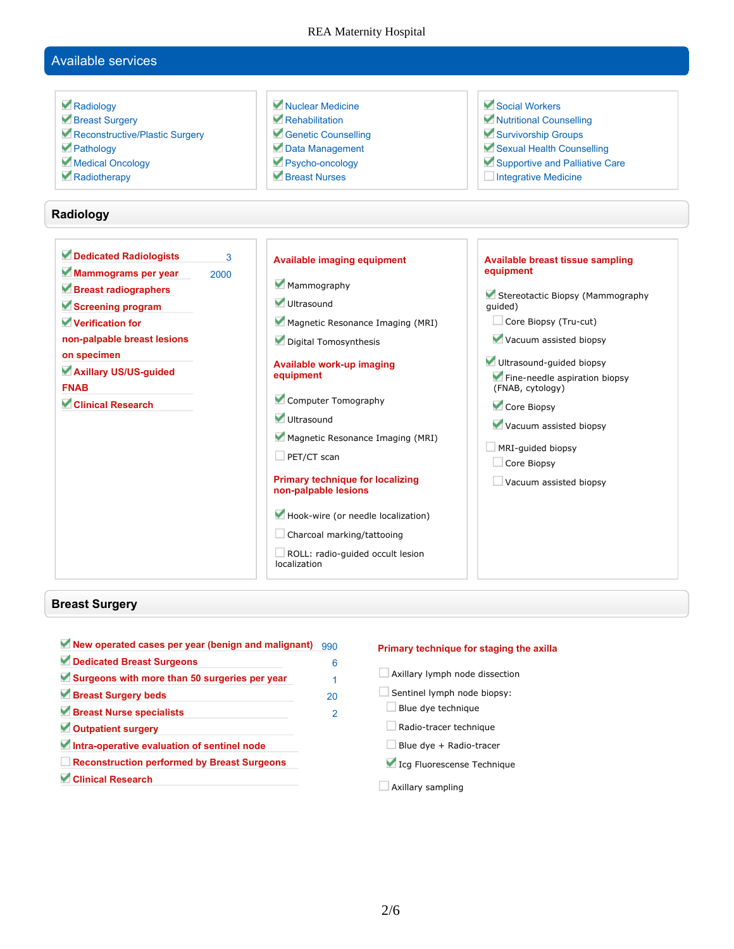#### REA Maternity Hospital

## **Available services**

| Radiology<br>Breast Surgery<br>Reconstructive/Plastic Surgery<br>Pathology<br>Medical Oncology<br>Radiotherapy<br>Radiology                                                                                                            | Nuclear Medicine<br>Rehabilitation<br>Genetic Counselling<br>Data Management<br>Psycho-oncology<br>Rreast Nurses                                                                                                                                                                                                                                                                                                                                                        | Social Workers<br>Nutritional Counselling<br>Survivorship Groups<br>Sexual Health Counselling<br>Supportive and Palliative Care<br>Integrative Medicine                                                                                                                                                                                        |
|----------------------------------------------------------------------------------------------------------------------------------------------------------------------------------------------------------------------------------------|-------------------------------------------------------------------------------------------------------------------------------------------------------------------------------------------------------------------------------------------------------------------------------------------------------------------------------------------------------------------------------------------------------------------------------------------------------------------------|------------------------------------------------------------------------------------------------------------------------------------------------------------------------------------------------------------------------------------------------------------------------------------------------------------------------------------------------|
|                                                                                                                                                                                                                                        |                                                                                                                                                                                                                                                                                                                                                                                                                                                                         |                                                                                                                                                                                                                                                                                                                                                |
| Dedicated Radiologists<br>3<br>Mammograms per year<br>2000<br>Breast radiographers<br>Screening program<br>Verification for<br>non-palpable breast lesions<br>on specimen<br>Axillary US/US-guided<br><b>FNAB</b><br>Clinical Research | <b>Available imaging equipment</b><br>Mammography<br>Ultrasound<br>Magnetic Resonance Imaging (MRI)<br>Digital Tomosynthesis<br>Available work-up imaging<br>equipment<br>Computer Tomography<br>Ultrasound<br>Magnetic Resonance Imaging (MRI)<br>$\Box$ PET/CT scan<br><b>Primary technique for localizing</b><br>non-palpable lesions<br>Hook-wire (or needle localization)<br>$\Box$ Charcoal marking/tattooing<br>ROLL: radio-quided occult lesion<br>localization | <b>Available breast tissue sampling</b><br>equipment<br>Stereotactic Biopsy (Mammography<br>quided)<br>Core Biopsy (Tru-cut)<br>Vacuum assisted biopsy<br>Ultrasound-guided biopsy<br>Fine-needle aspiration biopsy<br>(FNAB, cytology)<br>Core Biopsy<br>Vacuum assisted biopsy<br>MRI-quided biopsy<br>Core Biopsy<br>Vacuum assisted biopsy |

## **Breast Surgery**

| New operated cases per year (benign and malignant) | 990 |
|----------------------------------------------------|-----|
| Dedicated Breast Surgeons                          | 6   |
| Surgeons with more than 50 surgeries per year      | 1   |
| Breast Surgery beds                                | 20  |
| Breast Nurse specialists                           | 2   |
| Outpatient surgery                                 |     |
| Intra-operative evaluation of sentinel node        |     |
| <b>Reconstruction performed by Breast Surgeons</b> |     |
| <b>Clinical Research</b>                           |     |

#### **Primary technique for staging the axilla**

- **Axillary lymph node dissection Sentinel lymph node biopsy: Blue dye technique Radio-tracer technique Blue dye + Radio-tracer Icg Fluorescense Technique**
- **Axillary sampling**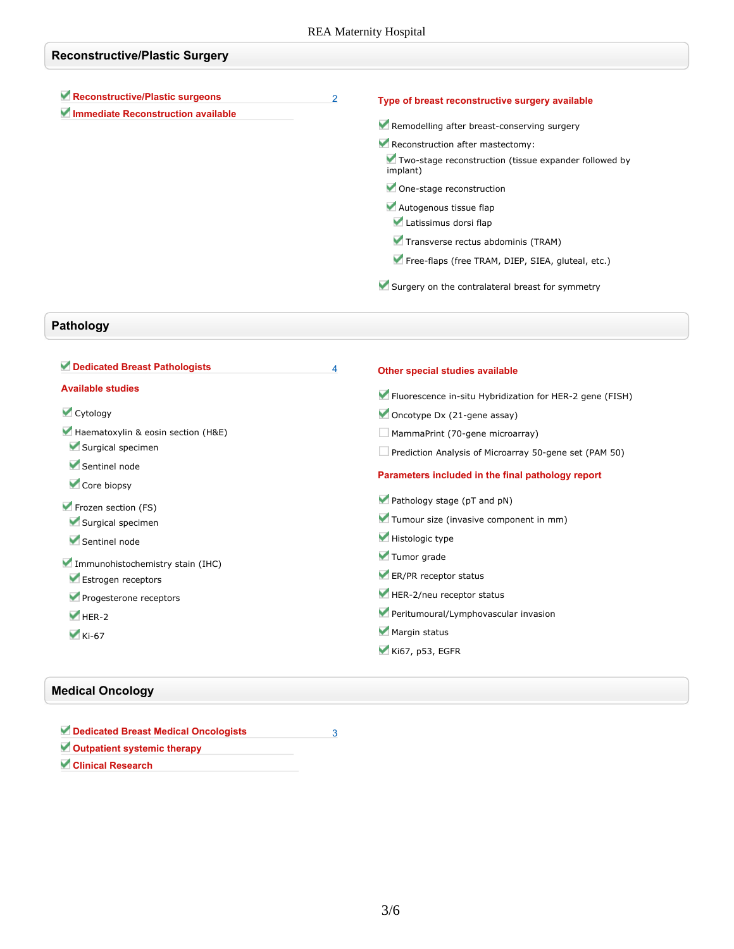| <b>Reconstructive/Plastic Surgery</b>                                 |   |                                                                                                       |
|-----------------------------------------------------------------------|---|-------------------------------------------------------------------------------------------------------|
| Reconstructive/Plastic surgeons<br>Immediate Reconstruction available | 2 | Type of breast reconstructive surgery available<br>Remodelling after breast-conserving surgery        |
|                                                                       |   | Reconstruction after mastectomy:<br>Two-stage reconstruction (tissue expander followed by<br>implant) |
|                                                                       |   | One-stage reconstruction<br>Autogenous tissue flap                                                    |
|                                                                       |   | Latissimus dorsi flap<br>Transverse rectus abdominis (TRAM)                                           |
|                                                                       |   | Free-flaps (free TRAM, DIEP, SIEA, gluteal, etc.)<br>Surgery on the contralateral breast for symmetry |

## **Pathology**

| Dedicated Breast Pathologists      | 4 | Other special studies available                          |
|------------------------------------|---|----------------------------------------------------------|
| <b>Available studies</b>           |   | Fluorescence in-situ Hybridization for HER-2 gene (FISH) |
| Cytology                           |   | Oncotype Dx $(21$ -gene assay)                           |
| Haematoxylin & eosin section (H&E) |   | MammaPrint (70-gene microarray)                          |
| Surgical specimen                  |   | Prediction Analysis of Microarray 50-gene set (PAM 50)   |
| Sentinel node                      |   | Parameters included in the final pathology report        |
| Core biopsy                        |   |                                                          |
| Frozen section (FS)                |   | Pathology stage (pT and pN)                              |
| Surgical specimen                  |   | Tumour size (invasive component in mm)                   |
| Sentinel node                      |   | Histologic type                                          |
| Immunohistochemistry stain (IHC)   |   | Tumor grade                                              |
| Estrogen receptors                 |   | ER/PR receptor status                                    |
| Progesterone receptors             |   | HER-2/neu receptor status                                |
| $HER-2$                            |   | Peritumoural/Lymphovascular invasion                     |
| $\blacktriangleright$ Ki-67        |   | Margin status                                            |
|                                    |   | $\blacktriangleright$ Ki67, p53, EGFR                    |
|                                    |   |                                                          |

## **Medical Oncology**

| Dedicated Breast Medical Oncologists |  |
|--------------------------------------|--|
| Outpatient systemic therapy          |  |
| <b>Clinical Research</b>             |  |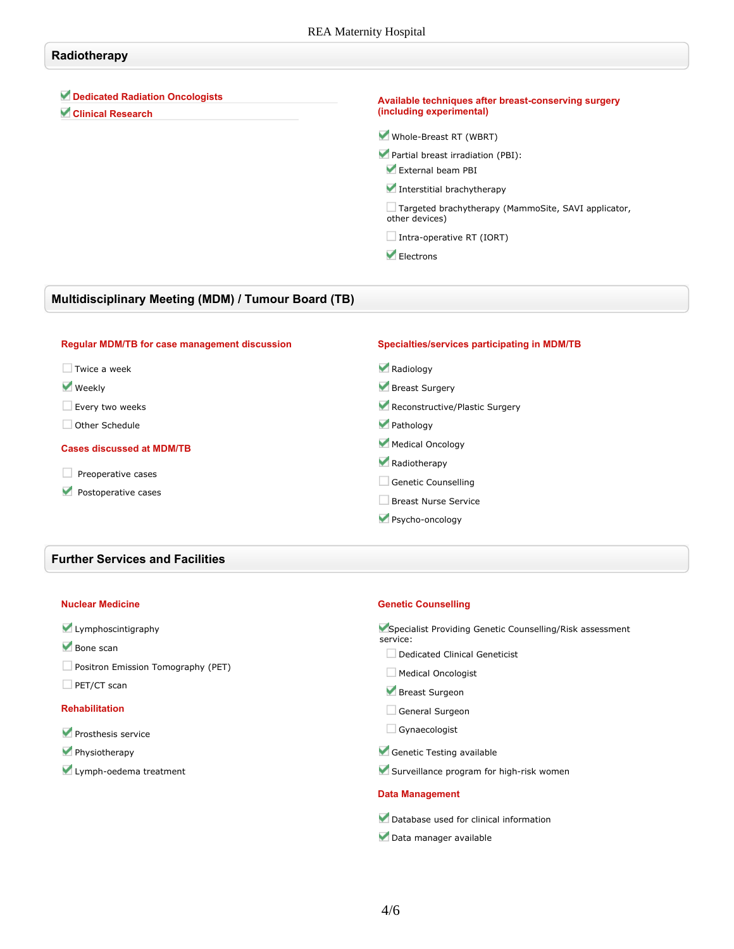#### **Radiotherapy**

#### **Dedicated Radiation Oncologists**

**Clinical Research**

#### **Available techniques after breast-conserving surgery (including experimental)**

**Whole-Breast RT (WBRT)**

**Partial breast irradiation (PBI): External beam PBI**

**Interstitial brachytherapy**

**Targeted brachytherapy (MammoSite, SAVI applicator, other devices)**

**Intra-operative RT (IORT)**

 **Electrons**

#### **Multidisciplinary Meeting (MDM) / Tumour Board (TB)**

| Specialties/services participating in MDM/TB |
|----------------------------------------------|
| Radiology                                    |
| Breast Surgery                               |
| Reconstructive/Plastic Surgery               |
| Pathology                                    |
| Medical Oncology                             |
| Radiotherapy                                 |
| Genetic Counselling                          |
| Breast Nurse Service                         |
| Psycho-oncology                              |
|                                              |

#### **Further Services and Facilities**

#### **Nuclear Medicine**

#### **Lymphoscintigraphy**

**Bone scan**

**Positron Emission Tomography (PET)**

#### **PET/CT scan**

#### **Rehabilitation**

- **Prosthesis service**
- **Physiotherapy**
- **Lymph-oedema treatment**

#### **Genetic Counselling**

| Specialist Providing Genetic Counselling/Risk assessment<br>service: |
|----------------------------------------------------------------------|
| Dedicated Clinical Geneticist                                        |
| Medical Oncologist                                                   |
| Breast Surgeon                                                       |
| General Surgeon                                                      |
| Gynaecologist                                                        |
| Genetic Testing available                                            |
| Surveillance program for high-risk women                             |

#### **Data Management**

**Database used for clinical information**

**Data manager available**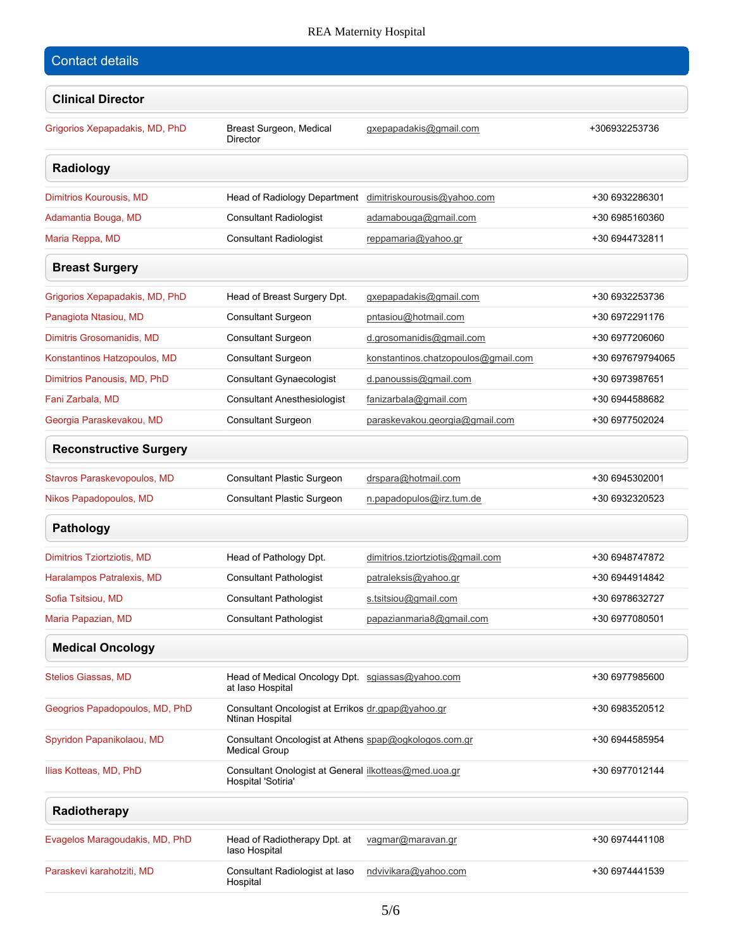## REA Maternity Hospital

| <b>Contact details</b>         |                                                                               |                                     |                  |
|--------------------------------|-------------------------------------------------------------------------------|-------------------------------------|------------------|
| <b>Clinical Director</b>       |                                                                               |                                     |                  |
| Grigorios Xepapadakis, MD, PhD | Breast Surgeon, Medical<br><b>Director</b>                                    | gxepapadakis@gmail.com              | +306932253736    |
| Radiology                      |                                                                               |                                     |                  |
| Dimitrios Kourousis, MD        | Head of Radiology Department                                                  | dimitriskourousis@yahoo.com         | +30 6932286301   |
| Adamantia Bouga, MD            | <b>Consultant Radiologist</b>                                                 | adamabouga@gmail.com                | +30 6985160360   |
| Maria Reppa, MD                | <b>Consultant Radiologist</b>                                                 | reppamaria@yahoo.gr                 | +30 6944732811   |
| <b>Breast Surgery</b>          |                                                                               |                                     |                  |
| Grigorios Xepapadakis, MD, PhD | Head of Breast Surgery Dpt.                                                   | gxepapadakis@gmail.com              | +30 6932253736   |
| Panagiota Ntasiou, MD          | <b>Consultant Surgeon</b>                                                     | pntasiou@hotmail.com                | +30 6972291176   |
| Dimitris Grosomanidis, MD      | <b>Consultant Surgeon</b>                                                     | d.grosomanidis@gmail.com            | +30 6977206060   |
| Konstantinos Hatzopoulos, MD   | <b>Consultant Surgeon</b>                                                     | konstantinos.chatzopoulos@gmail.com | +30 697679794065 |
| Dimitrios Panousis, MD, PhD    | <b>Consultant Gynaecologist</b>                                               | d.panoussis@gmail.com               | +30 6973987651   |
| Fani Zarbala, MD               | <b>Consultant Anesthesiologist</b>                                            | fanizarbala@gmail.com               | +30 6944588682   |
| Georgia Paraskevakou, MD       | <b>Consultant Surgeon</b>                                                     | paraskevakou.georgia@gmail.com      | +30 6977502024   |
| <b>Reconstructive Surgery</b>  |                                                                               |                                     |                  |
| Stavros Paraskevopoulos, MD    | Consultant Plastic Surgeon                                                    | drspara@hotmail.com                 | +30 6945302001   |
| Nikos Papadopoulos, MD         | <b>Consultant Plastic Surgeon</b>                                             | n.papadopulos@irz.tum.de            | +30 6932320523   |
| Pathology                      |                                                                               |                                     |                  |
| Dimitrios Tziortziotis, MD     | Head of Pathology Dpt.                                                        | dimitrios.tziortziotis@gmail.com    | +30 6948747872   |
| Haralampos Patralexis, MD      | <b>Consultant Pathologist</b>                                                 | patraleksis@yahoo.gr                | +30 6944914842   |
| Sofia Tsitsiou, MD             | <b>Consultant Pathologist</b>                                                 | s.tsitsiou@gmail.com                | +30 6978632727   |
| Maria Papazian, MD             | <b>Consultant Pathologist</b>                                                 | papazianmaria8@gmail.com            | +30 6977080501   |
| <b>Medical Oncology</b>        |                                                                               |                                     |                  |
| <b>Stelios Giassas, MD</b>     | Head of Medical Oncology Dpt. sgiassas@yahoo.com<br>at laso Hospital          |                                     | +30 6977985600   |
| Geogrios Papadopoulos, MD, PhD | Consultant Oncologist at Errikos dr.gpap@yahoo.gr<br>Ntinan Hospital          |                                     | +30 6983520512   |
| Spyridon Papanikolaou, MD      | Consultant Oncologist at Athens spap@ogkologos.com.gr<br><b>Medical Group</b> |                                     | +30 6944585954   |
| Ilias Kotteas, MD, PhD         | Consultant Onologist at General ilkotteas@med.uoa.gr<br>Hospital 'Sotiria'    |                                     | +30 6977012144   |
| Radiotherapy                   |                                                                               |                                     |                  |
| Evagelos Maragoudakis, MD, PhD | Head of Radiotherapy Dpt. at<br>laso Hospital                                 | vagmar@maravan.gr                   | +30 6974441108   |
| Paraskevi karahotziti, MD      | Consultant Radiologist at laso<br>Hospital                                    | ndvivikara@yahoo.com                | +30 6974441539   |